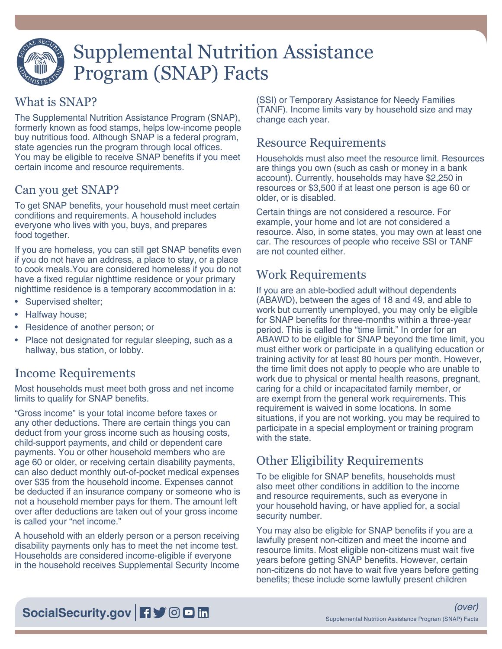

# Supplemental Nutrition Assistance Program (SNAP) Facts

#### What is SNAP?

The Supplemental Nutrition Assistance Program (SNAP), formerly known as food stamps, helps low-income people buy nutritious food. Although SNAP is a federal program, state agencies run the program through local offices. You may be eligible to receive SNAP benefits if you meet certain income and resource requirements.

# Can you get SNAP?

To get SNAP benefits, your household must meet certain conditions and requirements. A household includes everyone who lives with you, buys, and prepares food together.

If you are homeless, you can still get SNAP benefits even if you do not have an address, a place to stay, or a place to cook meals.You are considered homeless if you do not have a fixed regular nighttime residence or your primary nighttime residence is a temporary accommodation in a:

- Supervised shelter;
- Halfway house;
- Residence of another person; or
- Place not designated for regular sleeping, such as a hallway, bus station, or lobby.

# Income Requirements

Most households must meet both gross and net income limits to qualify for SNAP benefits.

"Gross income" is your total income before taxes or any other deductions. There are certain things you can deduct from your gross income such as housing costs, child-support payments, and child or dependent care payments. You or other household members who are age 60 or older, or receiving certain disability payments, can also deduct monthly out-of-pocket medical expenses over \$35 from the household income. Expenses cannot be deducted if an insurance company or someone who is not a household member pays for them. The amount left over after deductions are taken out of your gross income is called your "net income."

A household with an elderly person or a person receiving disability payments only has to meet the net income test. Households are considered income-eligible if everyone in the household receives Supplemental Security Income

(SSI) or Temporary Assistance for Needy Families (TANF). Income limits vary by household size and may change each year.

### Resource Requirements

Households must also meet the resource limit. Resources are things you own (such as cash or money in a bank account). Currently, households may have \$2,250 in resources or \$3,500 if at least one person is age 60 or older, or is disabled.

Certain things are not considered a resource. For example, your home and lot are not considered a resource. Also, in some states, you may own at least one car. The resources of people who receive SSI or TANF are not counted either.

#### Work Requirements

If you are an able-bodied adult without dependents (ABAWD), between the ages of 18 and 49, and able to work but currently unemployed, you may only be eligible for SNAP benefits for three-months within a three-year period. This is called the "time limit." In order for an ABAWD to be eligible for SNAP beyond the time limit, you must either work or participate in a qualifying education or training activity for at least 80 hours per month. However, the time limit does not apply to people who are unable to work due to physical or mental health reasons, pregnant, caring for a child or incapacitated family member, or are exempt from the general work requirements. This requirement is waived in some locations. In some situations, if you are not working, you may be required to participate in a special employment or training program with the state.

# Other Eligibility Requirements

To be eligible for SNAP benefits, households must also meet other conditions in addition to the income and resource requirements, such as everyone in your household having, or have applied for, a social security number.

You may also be eligible for SNAP benefits if you are a lawfully present non-citizen and meet the income and resource limits. Most eligible non-citizens must wait five years before getting SNAP benefits. However, certain non-citizens do not have to wait five years before getting benefits; these include some lawfully present children